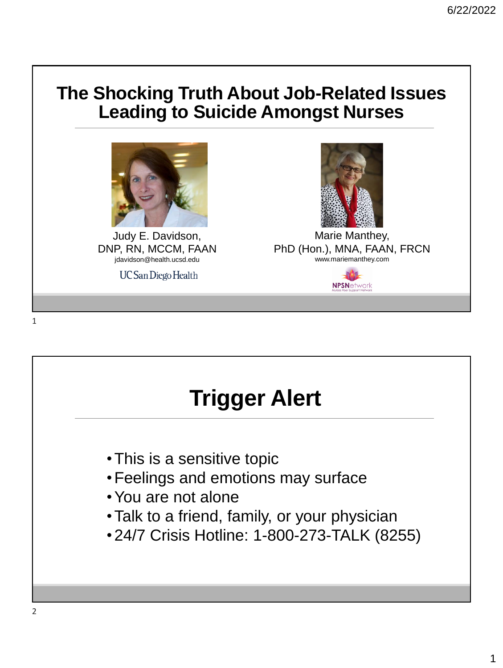#### **The Shocking Truth About Job-Related Issues Leading to Suicide Amongst Nurses**



Judy E. Davidson, DNP, RN, MCCM, FAAN jdavidson@health.ucsd.edu

**UC San Diego Health** 



# **Trigger Alert**

- •This is a sensitive topic
- •Feelings and emotions may surface
- •You are not alone
- •Talk to a friend, family, or your physician
- •24/7 Crisis Hotline: 1-800-273-TALK (8255)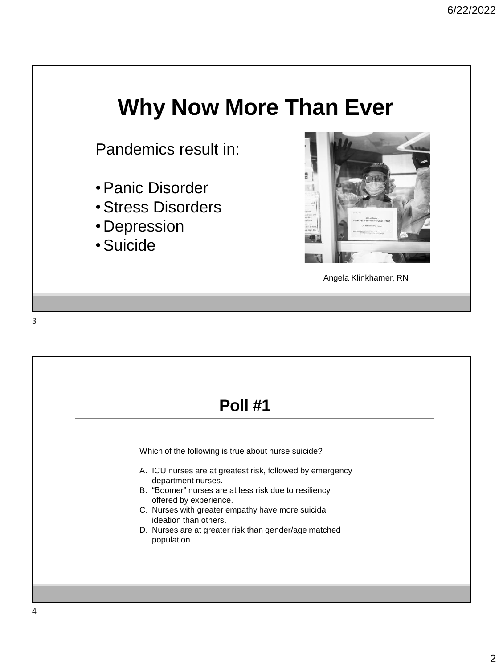### **Why Now More Than Ever**

Pandemics result in:

- •Panic Disorder
- •Stress Disorders
- •Depression
- •Suicide



Angela Klinkhamer, RN

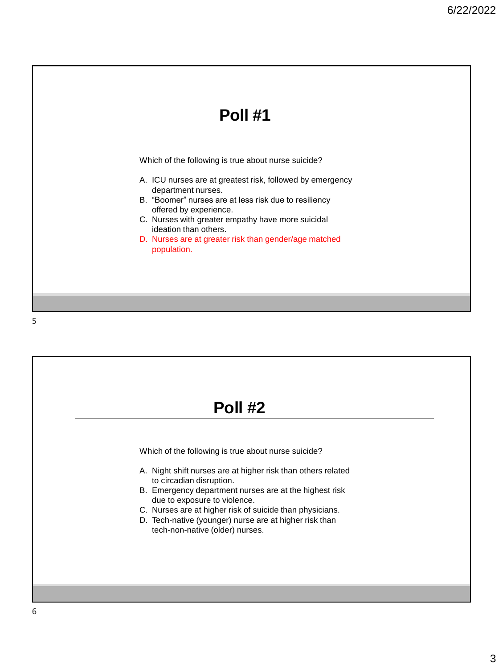

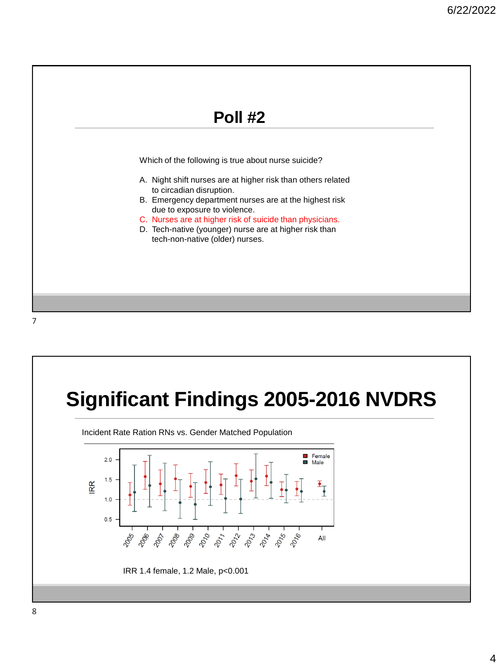

## **Significant Findings 2005-2016 NVDRS**

Incident Rate Ration RNs vs. Gender Matched Population

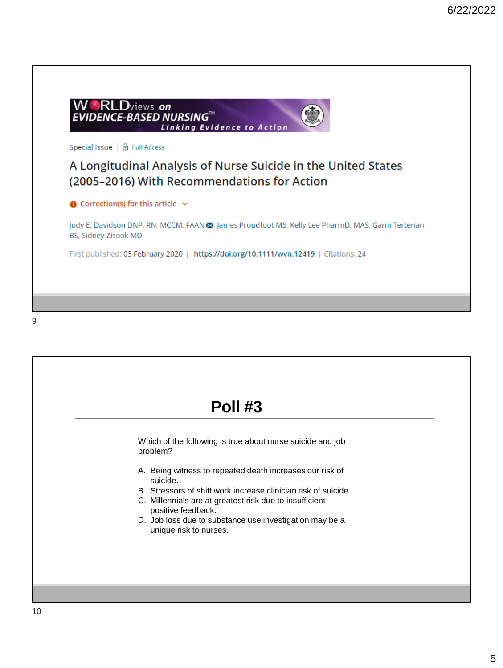

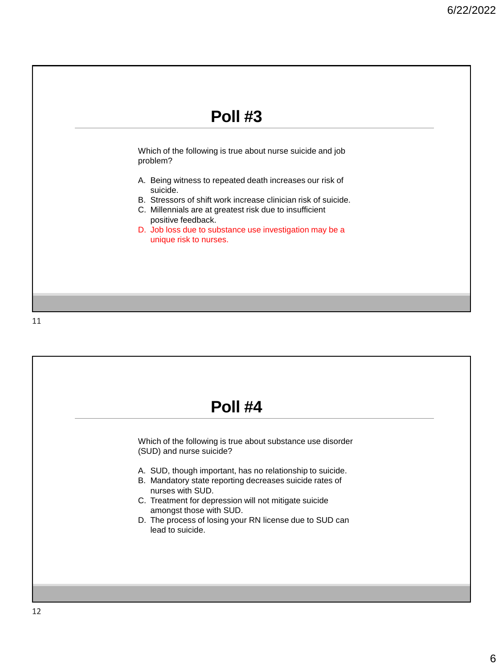

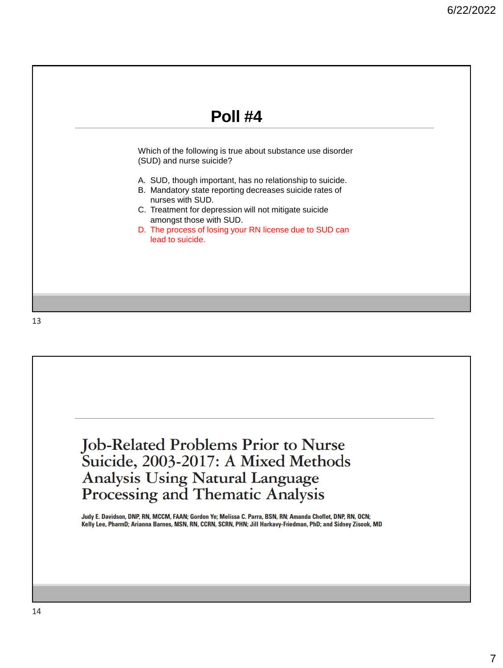

**Job-Related Problems Prior to Nurse** Suicide, 2003-2017: A Mixed Methods Analysis Using Natural Language<br>Processing and Thematic Analysis

Judy E. Davidson, DNP, RN, MCCM, FAAN; Gordon Ye; Melissa C. Parra, BSN, RN; Amanda Choflet, DNP, RN, OCN; Kelly Lee, PharmD; Arianna Barnes, MSN, RN, CCRN, SCRN, PHN; Jill Harkavy-Friedman, PhD; and Sidney Zisook, MD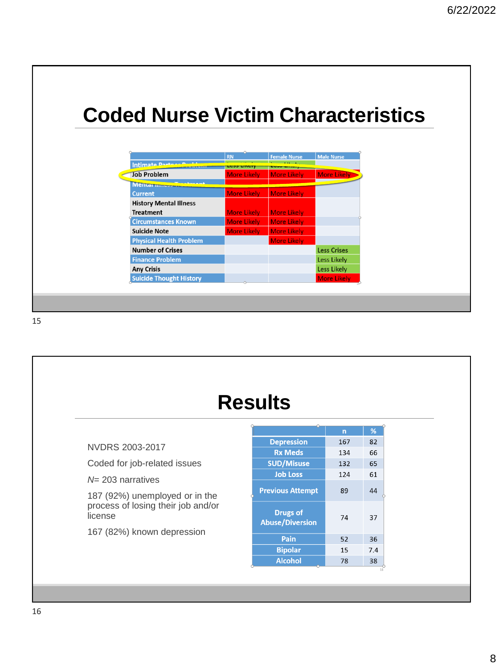#### **Coded Nurse Victim Characteristics**

|                                | <b>RN</b>          | <b>Female Nurse</b> | <b>Male Nurse</b>  |
|--------------------------------|--------------------|---------------------|--------------------|
| Intimate Darting               | <b>LESS LINE</b>   | LUJJ LINU.          |                    |
| <b>Job Problem</b>             | <b>More Likely</b> | <b>More Likely</b>  | <b>More Likely</b> |
| Mentar museum                  |                    |                     |                    |
| <b>Current</b>                 | <b>More Likely</b> | <b>More Likely</b>  |                    |
| <b>History Mental Illness</b>  |                    |                     |                    |
| <b>Treatment</b>               | <b>More Likely</b> | <b>More Likely</b>  |                    |
| <b>Circumstances Known</b>     | <b>More Likely</b> | <b>More Likely</b>  |                    |
| <b>Suicide Note</b>            | <b>More Likely</b> | <b>More Likely</b>  |                    |
| <b>Physical Health Problem</b> |                    | <b>More Likely</b>  |                    |
| <b>Number of Crises</b>        |                    |                     | <b>Less Crises</b> |
| <b>Finance Problem</b>         |                    |                     | Less Likely        |
| <b>Any Crisis</b>              |                    |                     | Less Likely        |
| <b>Suicide Thought History</b> |                    |                     | <b>More Likely</b> |

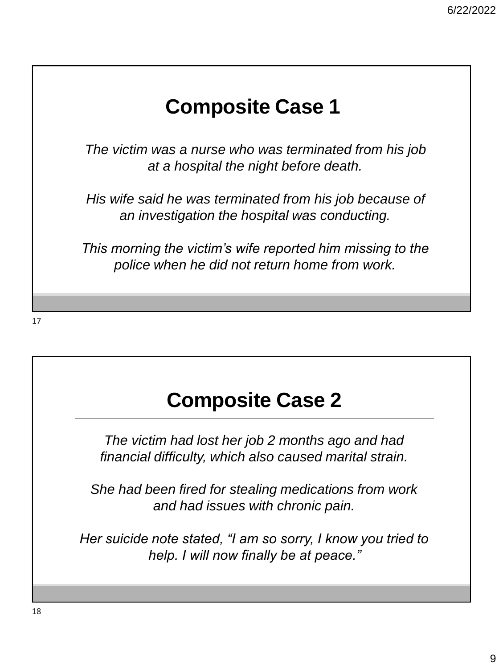### **Composite Case 1**

*The victim was a nurse who was terminated from his job at a hospital the night before death.*

*His wife said he was terminated from his job because of an investigation the hospital was conducting.*

*This morning the victim's wife reported him missing to the police when he did not return home from work.* 

### **Composite Case 2**

*The victim had lost her job 2 months ago and had financial difficulty, which also caused marital strain.*

*She had been fired for stealing medications from work and had issues with chronic pain.* 

*Her suicide note stated, "I am so sorry, I know you tried to help. I will now finally be at peace."*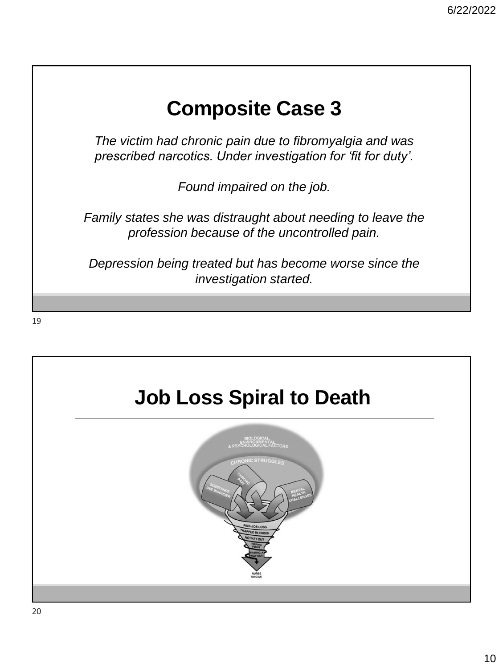#### **Composite Case 3**

*The victim had chronic pain due to fibromyalgia and was prescribed narcotics. Under investigation for 'fit for duty'.* 

*Found impaired on the job.* 

*Family states she was distraught about needing to leave the profession because of the uncontrolled pain.* 

*Depression being treated but has become worse since the investigation started.* 

## **Job Loss Spiral to Death**

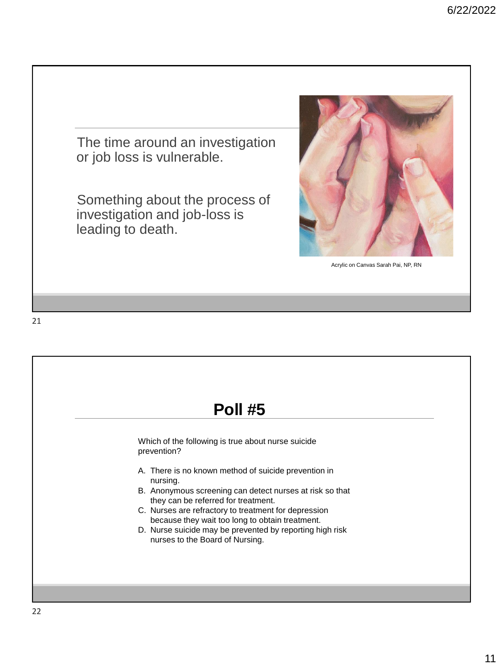The time around an investigation or job loss is vulnerable. Something about the process of investigation and job-loss is leading to death. Acrylic on Canvas Sarah Pai, NP, RN

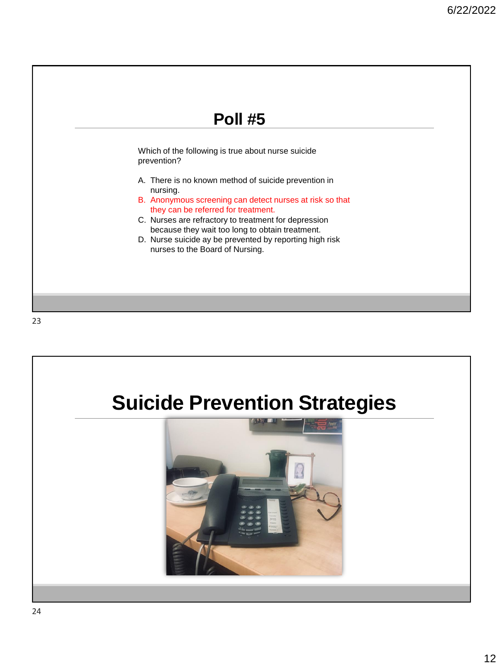



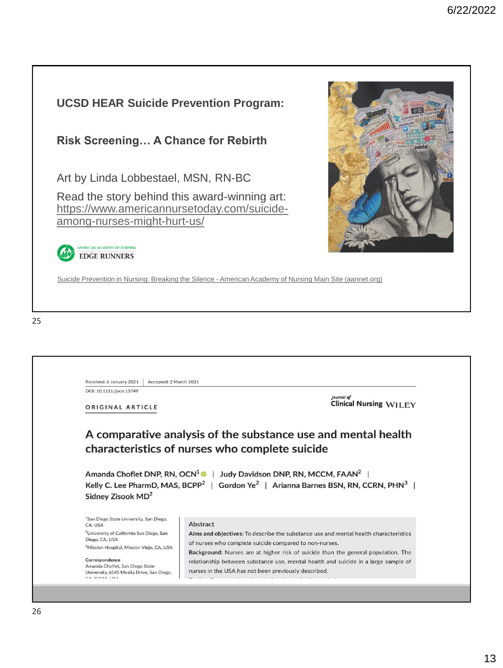#### **UCSD HEAR Suicide Prevention Program:**

#### **Risk Screening… A Chance for Rebirth**

Art by Linda Lobbestael, MSN, RN-BC

Read the story behind this award-winning art: [https://www.americannursetoday.com/suicide](https://www.americannursetoday.com/suicide-among-nurses-might-hurt-us/)among-nurses-might-hurt-us/

**MERICAN ACADEMY OF NURSING EDGE RUNNERS** 

Suicide Prevention in Nursing: Breaking the Silence - [American Academy of Nursing Main Site \(aannet.org\)](https://www.aannet.org/initiatives/edge-runners/profiles/suicide-prevention-in-nursing)

| Received: 6 January 2021<br>Accepted: 2 March 2021                                                                                                                                                                                                                                                                              |                                                                                                                             |
|---------------------------------------------------------------------------------------------------------------------------------------------------------------------------------------------------------------------------------------------------------------------------------------------------------------------------------|-----------------------------------------------------------------------------------------------------------------------------|
| DOI: 10.1111/jocn.15749                                                                                                                                                                                                                                                                                                         |                                                                                                                             |
|                                                                                                                                                                                                                                                                                                                                 | <b>Journal</b> of<br><b>Clinical Nursing WILEY</b>                                                                          |
| ORIGINAL ARTICLE                                                                                                                                                                                                                                                                                                                |                                                                                                                             |
|                                                                                                                                                                                                                                                                                                                                 |                                                                                                                             |
|                                                                                                                                                                                                                                                                                                                                 | Judy Davidson DNP, RN, MCCM, FAAN <sup>2</sup>  <br>Gordon Ye <sup>2</sup>   Arianna Barnes BSN, RN, CCRN, PHN <sup>3</sup> |
|                                                                                                                                                                                                                                                                                                                                 | Abstract                                                                                                                    |
|                                                                                                                                                                                                                                                                                                                                 | Aims and objectives: To describe the substance use and mental health characteristics                                        |
|                                                                                                                                                                                                                                                                                                                                 | of nurses who complete suicide compared to non-nurses.                                                                      |
| Amanda Choflet DNP, RN, OCN <sup>1</sup>  <br>Kelly C. Lee PharmD, MAS, BCPP <sup>2</sup><br>Sidney Zisook MD <sup>2</sup><br><sup>1</sup> San Diego State University, San Diego,<br>CA, USA<br><sup>2</sup> University of California San Diego, San<br>Diego, CA, USA<br><sup>3</sup> Mission Hospital, Mission Viejo, CA, USA | Background: Nurses are at higher risk of suicide than the general population. The                                           |
| Correspondence<br>Amanda Choflet, San Diego State                                                                                                                                                                                                                                                                               | relationship between substance use, mental health and suicide in a large sample of                                          |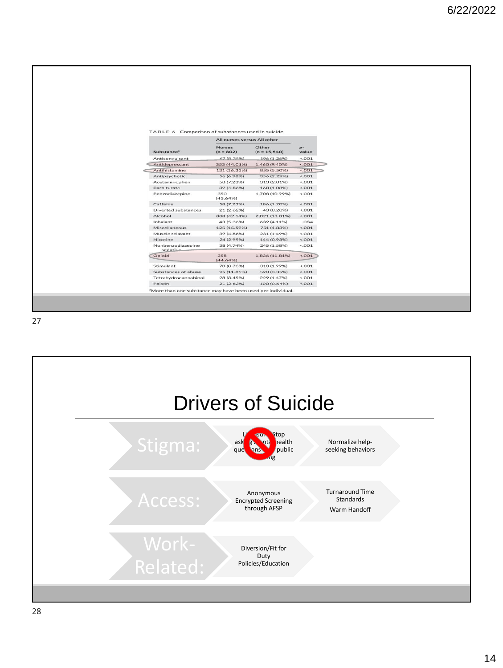|                               |                              | TABLE 6 Comparison of substances used in suicide |               |
|-------------------------------|------------------------------|--------------------------------------------------|---------------|
| Substance <sup>®</sup>        | All nurses versus All other  |                                                  |               |
|                               | <b>Nurses</b><br>$(n = 802)$ | Other<br>$(n = 15, 540)$                         | $p-$<br>value |
| Anticonvulsant                | 67(8.35%)                    | 196 (1.26%)                                      | < .001        |
| Antidepressant                | 353 (44.01%)                 | 1,460 (9,40%)                                    | < 0.001       |
| Antihistamine                 | 131 (16.33%)                 | 855 (5.50%)                                      | $<$ ,001      |
| Antipsychotic                 | 56 (6.98%)                   | 356 (2.29%)                                      | < 001         |
| Acetaminophen                 | 58 (7.23%)                   | 313 (2.01%)                                      | < 0.001       |
| Barbiturate                   | 39 (4.86%)                   | 168 (1.08%)                                      | < .001        |
| Benzodiazepine                | 350<br>(43.64%)              | 1.708 (10.99%)                                   | 2001          |
| Caffeine                      | 58 (7.23%)                   | 186 (1.20%)                                      | < 001         |
| Diverted substances           | 21 (2.62%)                   | 43 (0.28%)                                       | < .001        |
| Alcohol                       | 338 (42.14%)                 | 2,021 (13.01%)                                   | < .001        |
| Inhalant                      | 43 (5.36%)                   | 639 (4.11%)                                      | .084          |
| Miscellaneous                 | 125 (15.59%)                 | 751 (4.83%)                                      | 2.001         |
| Muscle relaxant               | 39 (4.86%)                   | 231 (1.49%)                                      | < 0.001       |
| Nicotine                      | 24 (2.99%)                   | 144 (0.93%)                                      | 2.001         |
| Nonbenzodiazepine<br>sedative | 38 (4.74%)                   | 245 (1.58%)                                      | 5001          |
| Opioid                        | 358<br>(44.64%)              | 1,836 (11.81%)                                   | 5.001         |
| Stimulant                     | 70 (8.73%)                   | 310 (1.99%)                                      | $-.001$       |
| Substances of abuse           | 95 (11.85%)                  | 520 (3.35%)                                      | $-.001$       |
| Tetrahydrocannabinol          | 28 (3.49%)                   | 229 (1.47%)                                      | < 001         |
| Poison                        | 21(2.62%)                    | 100 (0.64%)                                      | < 0.001       |